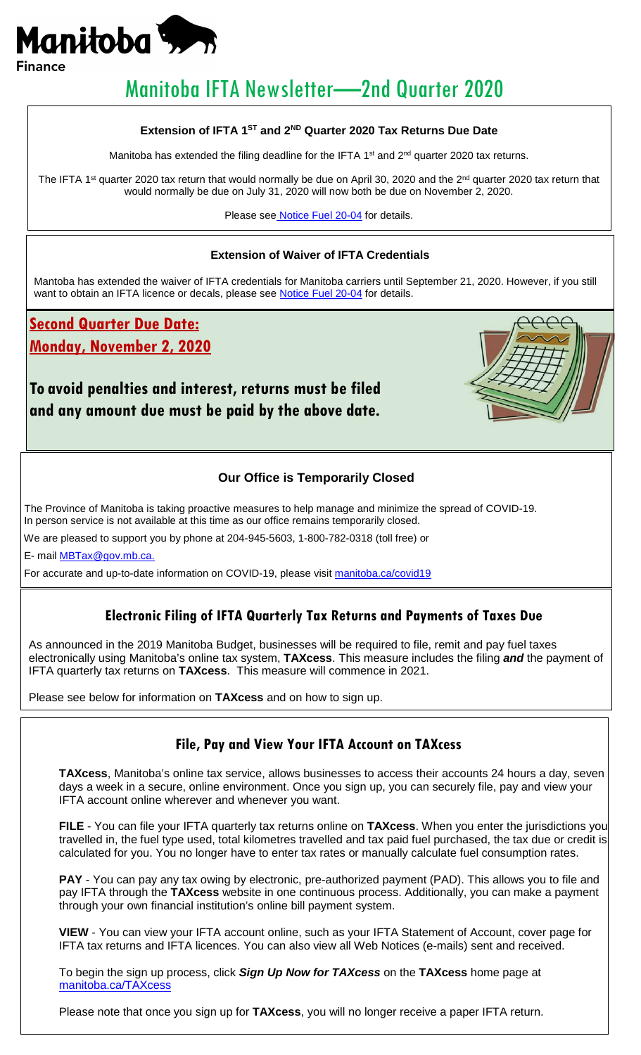

# Manitoba IFTA Newsletter—2nd Quarter 2020

### **Extension of IFTA 1ST and 2ND Quarter 2020 Tax Returns Due Date**

Manitoba has extended the filing deadline for the IFTA 1<sup>st</sup> and  $2<sup>nd</sup>$  quarter 2020 tax returns.

The IFTA 1<sup>st</sup> quarter 2020 tax return that would normally be due on April 30, 2020 and the 2<sup>nd</sup> quarter 2020 tax return that would normally be due on July 31, 2020 will now both be due on November 2, 2020.

Please see [Notice Fuel 20-04](https://www.gov.mb.ca/finance/taxation/pubs/bulletins/noticefuel2004.pdf) for details.

### **Extension of Waiver of IFTA Credentials**

Mantoba has extended the waiver of IFTA credentials for Manitoba carriers until September 21, 2020. However, if you still want to obtain an IFTA licence or decals, please see **Notice Fuel 20-04** for details.

**Second Quarter Due Date:**

**Monday, November 2, 2020**

## **To avoid penalties and interest, returns must be filed and any amount due must be paid by the above date.**



### **Our Office is Temporarily Closed**

The Province of Manitoba is taking proactive measures to help manage and minimize the spread of COVID-19. In person service is not available at this time as our office remains temporarily closed.

We are pleased to support you by phone at 204-945-5603, 1-800-782-0318 (toll free) or

E- mail [MBTax@gov.mb.ca.](mailto:MBTax@gov.mb.ca) 

For accurate and up-to-date information on COVID-19, please visit [manitoba.ca/covid19](http://www.manitoba.ca/covid19/)

### **Electronic Filing of IFTA Quarterly Tax Returns and Payments of Taxes Due**

As announced in the 2019 Manitoba Budget, businesses will be required to file, remit and pay fuel taxes electronically using Manitoba's online tax system, **TAXcess**. This measure includes the filing *and* the payment of IFTA quarterly tax returns on **TAXcess**. This measure will commence in 2021.

Please see below for information on **TAXcess** and on how to sign up.

## **File, Pay and View Your IFTA Account on TAXcess**

**TAXcess**, Manitoba's online tax service, allows businesses to access their accounts 24 hours a day, seven days a week in a secure, online environment. Once you sign up, you can securely file, pay and view your IFTA account online wherever and whenever you want.

**FILE** - You can file your IFTA quarterly tax returns online on **TAXcess**. When you enter the jurisdictions you travelled in, the fuel type used, total kilometres travelled and tax paid fuel purchased, the tax due or credit is calculated for you. You no longer have to enter tax rates or manually calculate fuel consumption rates.

PAY - You can pay any tax owing by electronic, pre-authorized payment (PAD). This allows you to file and pay IFTA through the **TAXcess** website in one continuous process. Additionally, you can make a payment through your own financial institution's online bill payment system.

**VIEW** - You can view your IFTA account online, such as your IFTA Statement of Account, cover page for IFTA tax returns and IFTA licences. You can also view all Web Notices (e-mails) sent and received.

To begin the sign up process, click *Sign Up Now for TAXcess* on the **TAXcess** home page at [manitoba.ca/TAXcess](https://taxcess.gov.mb.ca/TAXcess/_/)

Please note that once you sign up for **TAXcess**, you will no longer receive a paper IFTA return.